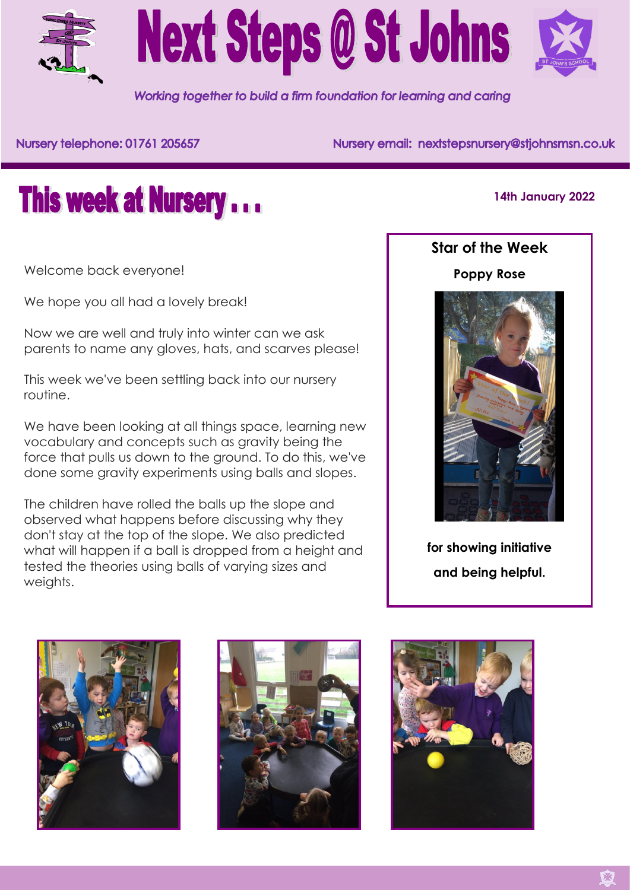



Working together to build a firm foundation for learning and caring

Nursery telephone: 01761 205657

Nursery email: nextstepsnursery@stjohnsmsn.co.uk



**14th January 2022**

Welcome back everyone!

We hope you all had a lovely break!

Now we are well and truly into winter can we ask parents to name any gloves, hats, and scarves please!

This week we've been settling back into our nursery routine.

We have been looking at all things space, learning new vocabulary and concepts such as gravity being the force that pulls us down to the ground. To do this, we've done some gravity experiments using balls and slopes.

The children have rolled the balls up the slope and observed what happens before discussing why they don't stay at the top of the slope. We also predicted what will happen if a ball is dropped from a height and tested the theories using balls of varying sizes and weights.



**for showing initiative and being helpful.**